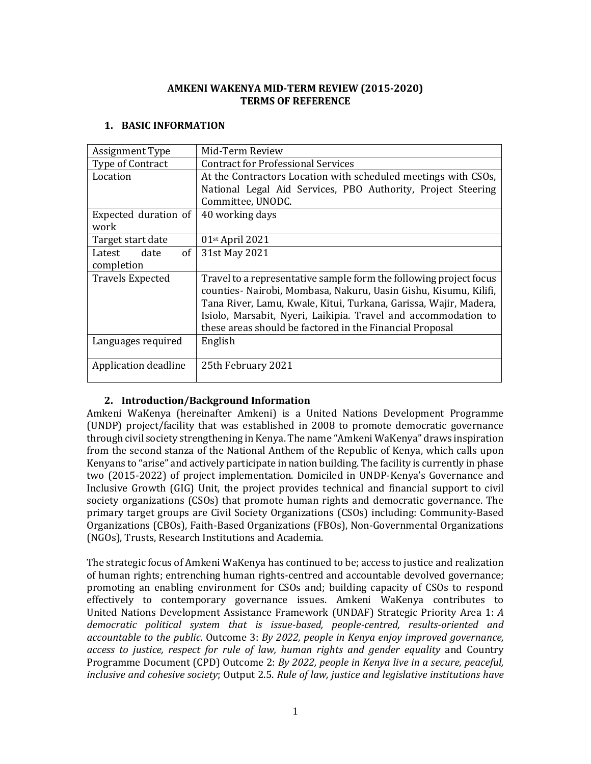### **AMKENI WAKENYA MID-TERM REVIEW (2015-2020) TERMS OF REFERENCE**

### **1. BASIC INFORMATION**

| Assignment Type         | Mid-Term Review                                                    |
|-------------------------|--------------------------------------------------------------------|
| Type of Contract        | <b>Contract for Professional Services</b>                          |
| Location                | At the Contractors Location with scheduled meetings with CSOs,     |
|                         | National Legal Aid Services, PBO Authority, Project Steering       |
|                         | Committee, UNODC.                                                  |
| Expected duration of    | 40 working days                                                    |
| work                    |                                                                    |
| Target start date       | $01st$ April 2021                                                  |
| 0f<br>date<br>Latest    | 31st May 2021                                                      |
| completion              |                                                                    |
| <b>Travels Expected</b> | Travel to a representative sample form the following project focus |
|                         | counties- Nairobi, Mombasa, Nakuru, Uasin Gishu, Kisumu, Kilifi,   |
|                         | Tana River, Lamu, Kwale, Kitui, Turkana, Garissa, Wajir, Madera,   |
|                         | Isiolo, Marsabit, Nyeri, Laikipia. Travel and accommodation to     |
|                         | these areas should be factored in the Financial Proposal           |
| Languages required      | English                                                            |
|                         |                                                                    |
| Application deadline    | 25th February 2021                                                 |
|                         |                                                                    |

## **2. Introduction/Background Information**

Amkeni WaKenya (hereinafter Amkeni) is a United Nations Development Programme (UNDP) project/facility that was established in 2008 to promote democratic governance through civil society strengthening in Kenya. The name "Amkeni WaKenya" draws inspiration from the second stanza of the National Anthem of the Republic of Kenya, which calls upon Kenyans to "arise" and actively participate in nation building. The facility is currently in phase two (2015-2022) of project implementation. Domiciled in UNDP-Kenya's Governance and Inclusive Growth (GIG) Unit, the project provides technical and financial support to civil society organizations (CSOs) that promote human rights and democratic governance. The primary target groups are Civil Society Organizations (CSOs) including: Community-Based Organizations (CBOs), Faith-Based Organizations (FBOs), Non-Governmental Organizations (NGOs), Trusts, Research Institutions and Academia.

The strategic focus of Amkeni WaKenya has continued to be; access to justice and realization of human rights; entrenching human rights-centred and accountable devolved governance; promoting an enabling environment for CSOs and; building capacity of CSOs to respond effectively to contemporary governance issues. Amkeni WaKenya contributes to United Nations Development Assistance Framework (UNDAF) Strategic Priority Area 1: *A democratic political system that is issue-based, people-centred, results-oriented and accountable to the public*. Outcome 3: *By 2022, people in Kenya enjoy improved governance, access to justice, respect for rule of law, human rights and gender equality* and Country Programme Document (CPD) Outcome 2: *By 2022, people in Kenya live in a secure, peaceful, inclusive and cohesive society*; Output 2.5. *Rule of law, justice and legislative institutions have*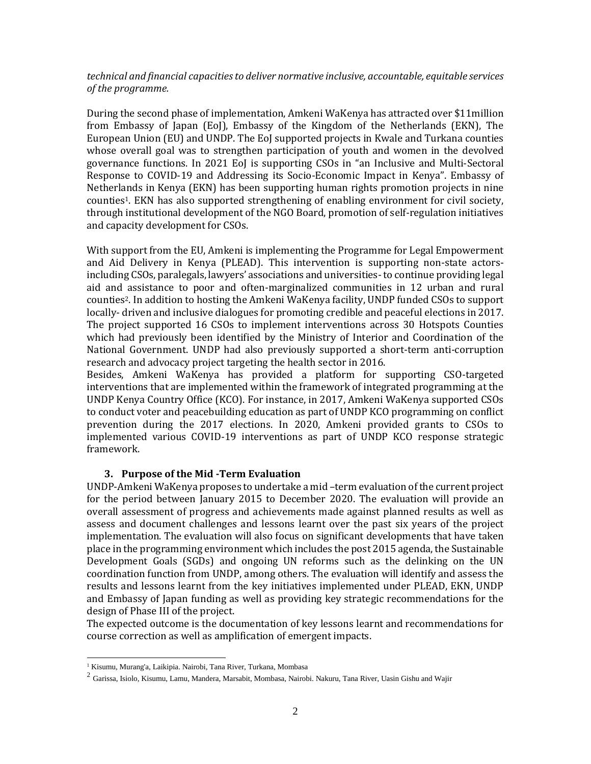### *technical and financial capacities to deliver normative inclusive, accountable, equitable services of the programme.*

During the second phase of implementation, Amkeni WaKenya has attracted over \$11million from Embassy of Japan (EoJ), Embassy of the Kingdom of the Netherlands (EKN), The European Union (EU) and UNDP. The EoJ supported projects in Kwale and Turkana counties whose overall goal was to strengthen participation of youth and women in the devolved governance functions. In 2021 EoJ is supporting CSOs in "an Inclusive and Multi-Sectoral Response to COVID-19 and Addressing its Socio-Economic Impact in Kenya". Embassy of Netherlands in Kenya (EKN) has been supporting human rights promotion projects in nine counties1. EKN has also supported strengthening of enabling environment for civil society, through institutional development of the NGO Board, promotion of self-regulation initiatives and capacity development for CSOs.

With support from the EU, Amkeni is implementing the Programme for Legal Empowerment and Aid Delivery in Kenya (PLEAD). This intervention is supporting non-state actorsincluding CSOs, paralegals, lawyers' associations and universities- to continue providing legal aid and assistance to poor and often-marginalized communities in 12 urban and rural counties2. In addition to hosting the Amkeni WaKenya facility, UNDP funded CSOs to support locally- driven and inclusive dialogues for promoting credible and peaceful elections in 2017. The project supported 16 CSOs to implement interventions across 30 Hotspots Counties which had previously been identified by the Ministry of Interior and Coordination of the National Government. UNDP had also previously supported a short-term anti-corruption research and advocacy project targeting the health sector in 2016.

Besides, Amkeni WaKenya has provided a platform for supporting CSO-targeted interventions that are implemented within the framework of integrated programming at the UNDP Kenya Country Office (KCO). For instance, in 2017, Amkeni WaKenya supported CSOs to conduct voter and peacebuilding education as part of UNDP KCO programming on conflict prevention during the 2017 elections. In 2020, Amkeni provided grants to CSOs to implemented various COVID-19 interventions as part of UNDP KCO response strategic framework.

#### **3. Purpose of the Mid -Term Evaluation**

UNDP-Amkeni WaKenya proposes to undertake a mid –term evaluation of the current project for the period between January 2015 to December 2020. The evaluation will provide an overall assessment of progress and achievements made against planned results as well as assess and document challenges and lessons learnt over the past six years of the project implementation. The evaluation will also focus on significant developments that have taken place in the programming environment which includes the post 2015 agenda, the Sustainable Development Goals (SGDs) and ongoing UN reforms such as the delinking on the UN coordination function from UNDP, among others. The evaluation will identify and assess the results and lessons learnt from the key initiatives implemented under PLEAD, EKN, UNDP and Embassy of Japan funding as well as providing key strategic recommendations for the design of Phase III of the project.

The expected outcome is the documentation of key lessons learnt and recommendations for course correction as well as amplification of emergent impacts.

<sup>&</sup>lt;sup>1</sup> Kisumu, Murang'a, Laikipia. Nairobi, Tana River, Turkana, Mombasa

 $^2$  Garissa, Isiolo, Kisumu, Lamu, Mandera, Marsabit, Mombasa, Nairobi. Nakuru, Tana River, Uasin Gishu and Wajir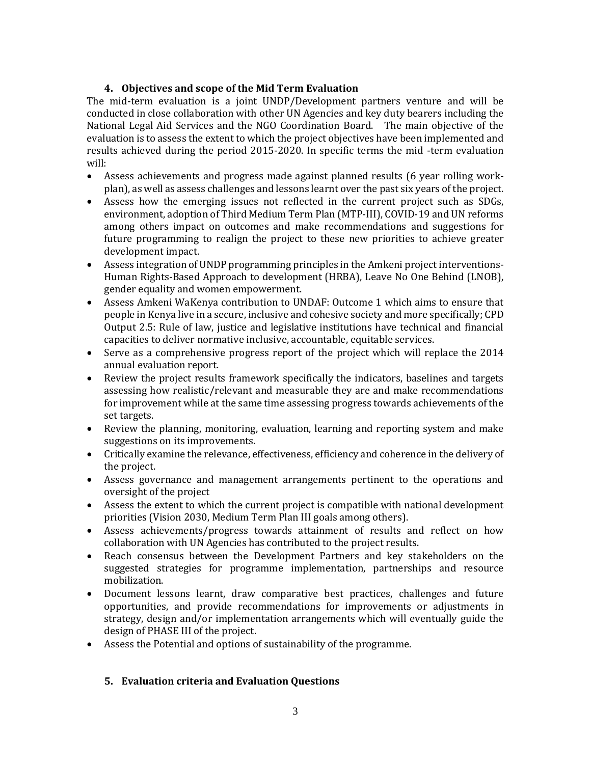# **4. Objectives and scope of the Mid Term Evaluation**

The mid-term evaluation is a joint UNDP/Development partners venture and will be conducted in close collaboration with other UN Agencies and key duty bearers including the National Legal Aid Services and the NGO Coordination Board. The main objective of the evaluation is to assess the extent to which the project objectives have been implemented and results achieved during the period 2015-2020. In specific terms the mid -term evaluation will:

- Assess achievements and progress made against planned results (6 year rolling workplan), as well as assess challenges and lessons learnt over the past six years of the project.
- Assess how the emerging issues not reflected in the current project such as SDGs, environment, adoption of Third Medium Term Plan (MTP-III), COVID-19 and UN reforms among others impact on outcomes and make recommendations and suggestions for future programming to realign the project to these new priorities to achieve greater development impact.
- Assess integration of UNDP programming principles in the Amkeni project interventions-Human Rights-Based Approach to development (HRBA), Leave No One Behind (LNOB), gender equality and women empowerment.
- Assess Amkeni WaKenya contribution to UNDAF: Outcome 1 which aims to ensure that people in Kenya live in a secure, inclusive and cohesive society and more specifically; CPD Output 2.5: Rule of law, justice and legislative institutions have technical and financial capacities to deliver normative inclusive, accountable, equitable services.
- Serve as a comprehensive progress report of the project which will replace the 2014 annual evaluation report.
- Review the project results framework specifically the indicators, baselines and targets assessing how realistic/relevant and measurable they are and make recommendations for improvement while at the same time assessing progress towards achievements of the set targets.
- Review the planning, monitoring, evaluation, learning and reporting system and make suggestions on its improvements.
- Critically examine the relevance, effectiveness, efficiency and coherence in the delivery of the project.
- Assess governance and management arrangements pertinent to the operations and oversight of the project
- Assess the extent to which the current project is compatible with national development priorities (Vision 2030, Medium Term Plan III goals among others).
- Assess achievements/progress towards attainment of results and reflect on how collaboration with UN Agencies has contributed to the project results.
- Reach consensus between the Development Partners and key stakeholders on the suggested strategies for programme implementation, partnerships and resource mobilization.
- Document lessons learnt, draw comparative best practices, challenges and future opportunities, and provide recommendations for improvements or adjustments in strategy, design and/or implementation arrangements which will eventually guide the design of PHASE III of the project.
- Assess the Potential and options of sustainability of the programme.

# **5. Evaluation criteria and Evaluation Questions**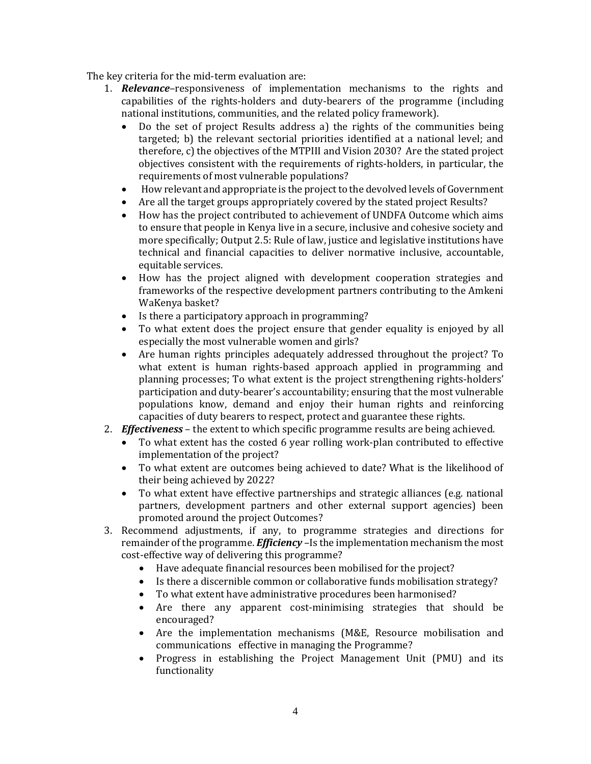The key criteria for the mid-term evaluation are:

- 1. *Relevance*–responsiveness of implementation mechanisms to the rights and capabilities of the rights-holders and duty-bearers of the programme (including national institutions, communities, and the related policy framework).
	- Do the set of project Results address a) the rights of the communities being targeted; b) the relevant sectorial priorities identified at a national level; and therefore, c) the objectives of the MTPIII and Vision 2030? Are the stated project objectives consistent with the requirements of rights-holders, in particular, the requirements of most vulnerable populations?
	- How relevant and appropriate is the project to the devolved levels of Government
	- Are all the target groups appropriately covered by the stated project Results?
	- How has the project contributed to achievement of UNDFA Outcome which aims to ensure that people in Kenya live in a secure, inclusive and cohesive society and more specifically; Output 2.5: Rule of law, justice and legislative institutions have technical and financial capacities to deliver normative inclusive, accountable, equitable services.
	- How has the project aligned with development cooperation strategies and frameworks of the respective development partners contributing to the Amkeni WaKenya basket?
	- Is there a participatory approach in programming?
	- To what extent does the project ensure that gender equality is enjoyed by all especially the most vulnerable women and girls?
	- Are human rights principles adequately addressed throughout the project? To what extent is human rights-based approach applied in programming and planning processes; To what extent is the project strengthening rights-holders' participation and duty-bearer's accountability; ensuring that the most vulnerable populations know, demand and enjoy their human rights and reinforcing capacities of duty bearers to respect, protect and guarantee these rights.
- 2. *Effectiveness* the extent to which specific programme results are being achieved.
	- To what extent has the costed 6 year rolling work-plan contributed to effective implementation of the project?
	- To what extent are outcomes being achieved to date? What is the likelihood of their being achieved by 2022?
	- To what extent have effective partnerships and strategic alliances (e.g. national partners, development partners and other external support agencies) been promoted around the project Outcomes?
- 3. Recommend adjustments, if any, to programme strategies and directions for remainder of the programme. *Efficiency* –Is the implementation mechanism the most cost-effective way of delivering this programme?
	- Have adequate financial resources been mobilised for the project?
	- Is there a discernible common or collaborative funds mobilisation strategy?
	- To what extent have administrative procedures been harmonised?
	- Are there any apparent cost-minimising strategies that should be encouraged?
	- Are the implementation mechanisms (M&E, Resource mobilisation and communications effective in managing the Programme?
	- Progress in establishing the Project Management Unit (PMU) and its functionality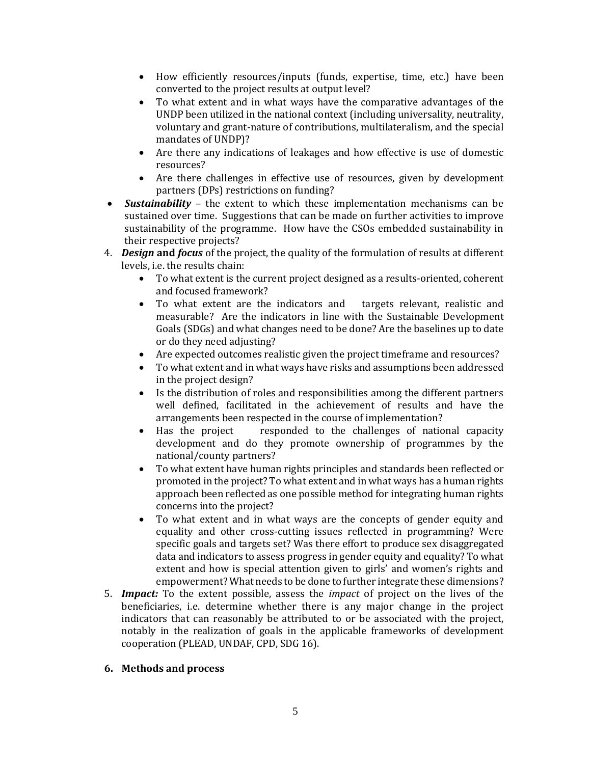- How efficiently resources/inputs (funds, expertise, time, etc.) have been converted to the project results at output level?
- To what extent and in what ways have the comparative advantages of the UNDP been utilized in the national context (including universality, neutrality, voluntary and grant-nature of contributions, multilateralism, and the special mandates of UNDP)?
- Are there any indications of leakages and how effective is use of domestic resources?
- Are there challenges in effective use of resources, given by development partners (DPs) restrictions on funding?
- *Sustainability*  the extent to which these implementation mechanisms can be sustained over time. Suggestions that can be made on further activities to improve sustainability of the programme. How have the CSOs embedded sustainability in their respective projects?
- 4. *Design* **and** *focus* of the project, the quality of the formulation of results at different levels, i.e. the results chain:
	- To what extent is the current project designed as a results-oriented, coherent and focused framework?
	- To what extent are the indicators and targets relevant, realistic and measurable? Are the indicators in line with the Sustainable Development Goals (SDGs) and what changes need to be done? Are the baselines up to date or do they need adjusting?
	- Are expected outcomes realistic given the project timeframe and resources?
	- To what extent and in what ways have risks and assumptions been addressed in the project design?
	- Is the distribution of roles and responsibilities among the different partners well defined, facilitated in the achievement of results and have the arrangements been respected in the course of implementation?
	- Has the project responded to the challenges of national capacity development and do they promote ownership of programmes by the national/county partners?
	- To what extent have human rights principles and standards been reflected or promoted in the project? To what extent and in what ways has a human rights approach been reflected as one possible method for integrating human rights concerns into the project?
	- To what extent and in what ways are the concepts of gender equity and equality and other cross-cutting issues reflected in programming? Were specific goals and targets set? Was there effort to produce sex disaggregated data and indicators to assess progress in gender equity and equality? To what extent and how is special attention given to girls' and women's rights and empowerment? What needs to be done to further integrate these dimensions?
- 5. *Impact:* To the extent possible, assess the *impact* of project on the lives of the beneficiaries, i.e. determine whether there is any major change in the project indicators that can reasonably be attributed to or be associated with the project, notably in the realization of goals in the applicable frameworks of development cooperation (PLEAD, UNDAF, CPD, SDG 16).

## **6. Methods and process**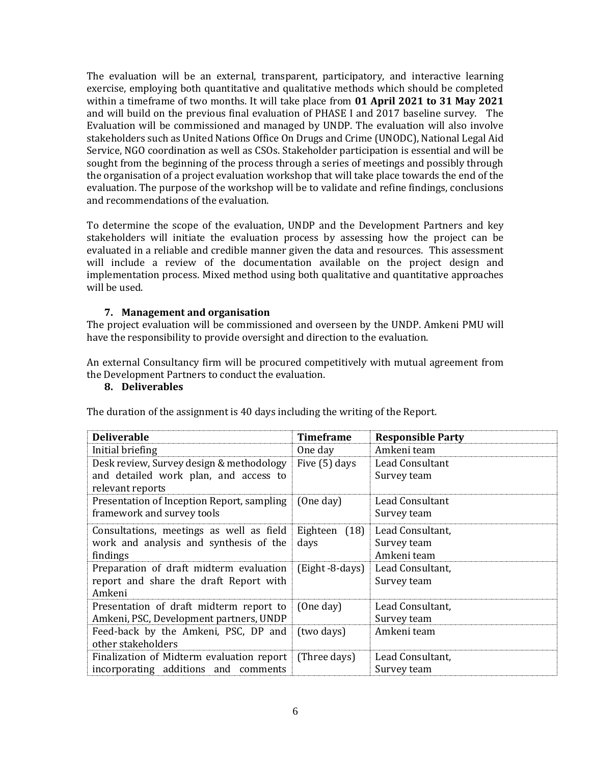The evaluation will be an external, transparent, participatory, and interactive learning exercise, employing both quantitative and qualitative methods which should be completed within a timeframe of two months. It will take place from **01 April 2021 to 31 May 2021** and will build on the previous final evaluation of PHASE I and 2017 baseline survey. The Evaluation will be commissioned and managed by UNDP. The evaluation will also involve stakeholders such as United Nations Office On Drugs and Crime (UNODC), National Legal Aid Service, NGO coordination as well as CSOs. Stakeholder participation is essential and will be sought from the beginning of the process through a series of meetings and possibly through the organisation of a project evaluation workshop that will take place towards the end of the evaluation. The purpose of the workshop will be to validate and refine findings, conclusions and recommendations of the evaluation.

To determine the scope of the evaluation, UNDP and the Development Partners and key stakeholders will initiate the evaluation process by assessing how the project can be evaluated in a reliable and credible manner given the data and resources. This assessment will include a review of the documentation available on the project design and implementation process. Mixed method using both qualitative and quantitative approaches will be used.

### **7. Management and organisation**

The project evaluation will be commissioned and overseen by the UNDP. Amkeni PMU will have the responsibility to provide oversight and direction to the evaluation.

An external Consultancy firm will be procured competitively with mutual agreement from the Development Partners to conduct the evaluation.

#### **8. Deliverables**

The duration of the assignment is 40 days including the writing of the Report.

| <b>Deliverable</b>                                                                                    | <b>Timeframe</b>         | <b>Responsible Party</b>                       |
|-------------------------------------------------------------------------------------------------------|--------------------------|------------------------------------------------|
| Initial briefing                                                                                      | One day                  | Amkeni team                                    |
| Desk review, Survey design & methodology<br>and detailed work plan, and access to<br>relevant reports | Five (5) days            | Lead Consultant<br>Survey team                 |
| Presentation of Inception Report, sampling<br>framework and survey tools                              | (One day)                | Lead Consultant<br>Survey team                 |
| Consultations, meetings as well as field<br>work and analysis and synthesis of the<br>findings        | Eighteen<br>(18)<br>days | Lead Consultant,<br>Survey team<br>Amkeni team |
| Preparation of draft midterm evaluation<br>report and share the draft Report with<br>Amkeni           | (Eight -8-days)          | Lead Consultant,<br>Survey team                |
| Presentation of draft midterm report to<br>Amkeni, PSC, Development partners, UNDP                    | (One day)                | Lead Consultant,<br>Survey team                |
| Feed-back by the Amkeni, PSC, DP and<br>other stakeholders                                            | (two days)               | Amkeni team                                    |
| Finalization of Midterm evaluation report<br>incorporating additions and comments                     | (Three days)             | Lead Consultant,<br>Survey team                |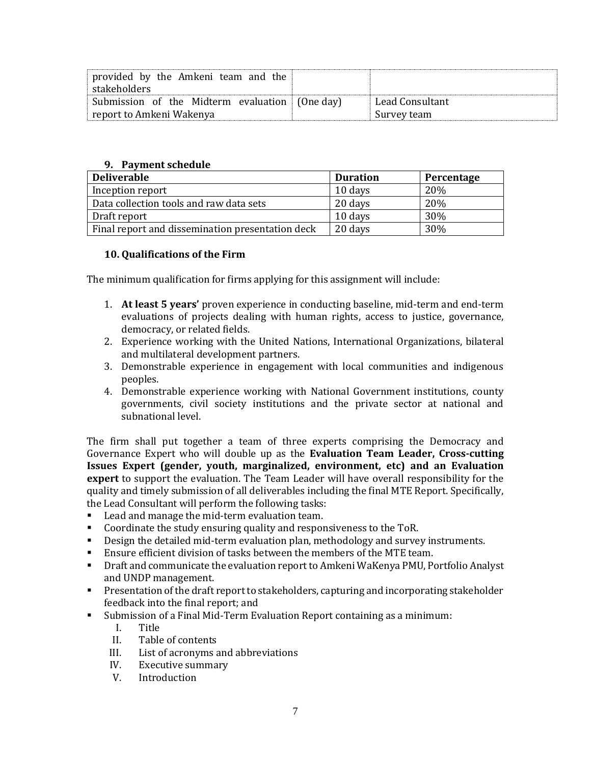| provided by the Amkeni team and the<br>stakeholders |                 |
|-----------------------------------------------------|-----------------|
| Submission of the Midterm evaluation (One day)      | Lead Consultant |
| report to Amkeni Wakenya                            | Survey team     |

#### **9. Payment schedule**

| <b>Deliverable</b>                               | <b>Duration</b> | Percentage |
|--------------------------------------------------|-----------------|------------|
| Inception report                                 | 10 days         | 20%        |
| Data collection tools and raw data sets          | 20 days         | 20%        |
| Draft report                                     | 10 days         | 30%        |
| Final report and dissemination presentation deck | 20 days         | 30%        |

#### **10. Qualifications of the Firm**

The minimum qualification for firms applying for this assignment will include:

- 1. **At least 5 years'** proven experience in conducting baseline, mid-term and end-term evaluations of projects dealing with human rights, access to justice, governance, democracy, or related fields.
- 2. Experience working with the United Nations, International Organizations, bilateral and multilateral development partners.
- 3. Demonstrable experience in engagement with local communities and indigenous peoples.
- 4. Demonstrable experience working with National Government institutions, county governments, civil society institutions and the private sector at national and subnational level.

The firm shall put together a team of three experts comprising the Democracy and Governance Expert who will double up as the **Evaluation Team Leader, Cross-cutting Issues Expert (gender, youth, marginalized, environment, etc) and an Evaluation expert** to support the evaluation. The Team Leader will have overall responsibility for the quality and timely submission of all deliverables including the final MTE Report. Specifically, the Lead Consultant will perform the following tasks:

- Lead and manage the mid-term evaluation team.
- Coordinate the study ensuring quality and responsiveness to the ToR.
- Design the detailed mid-term evaluation plan, methodology and survey instruments.
- Ensure efficient division of tasks between the members of the MTE team.
- **Draft and communicate the evaluation report to Amkeni WaKenya PMU, Portfolio Analyst** and UNDP management.
- Presentation of the draft report to stakeholders, capturing and incorporating stakeholder feedback into the final report; and
- Submission of a Final Mid-Term Evaluation Report containing as a minimum:
	- I. Title
	- II. Table of contents
	- III. List of acronyms and abbreviations
	- IV. Executive summary
	- V. Introduction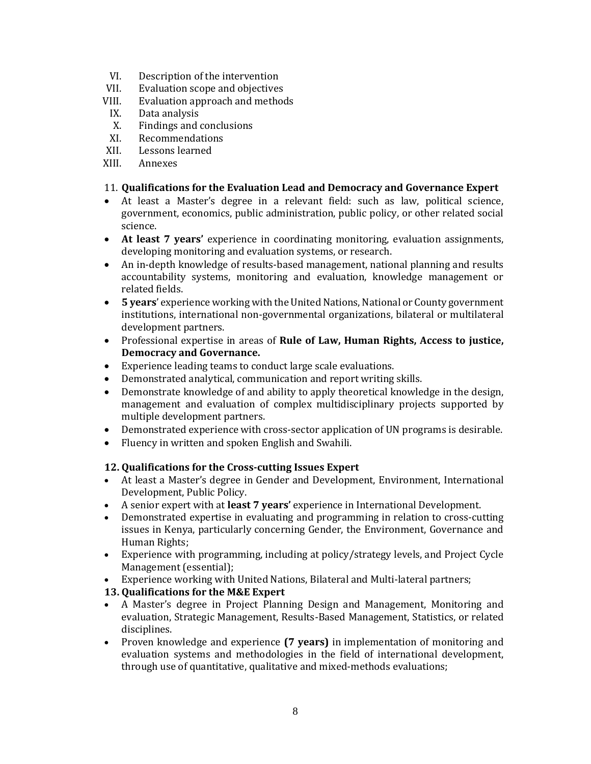- VI. Description of the intervention
- VII. Evaluation scope and objectives
- VIII. Evaluation approach and methods
- IX. Data analysis
- X. Findings and conclusions
- XI. Recommendations
- XII. Lessons learned
- XIII. Annexes

### 11. **Qualifications for the Evaluation Lead and Democracy and Governance Expert**

- At least a Master's degree in a relevant field: such as law, political science, government, economics, public administration, public policy, or other related social science.
- **At least 7 years'** experience in coordinating monitoring, evaluation assignments, developing monitoring and evaluation systems, or research.
- An in-depth knowledge of results-based management, national planning and results accountability systems, monitoring and evaluation, knowledge management or related fields.
- **5 years**' experience working with the United Nations, National or County government institutions, international non-governmental organizations, bilateral or multilateral development partners.
- Professional expertise in areas of **Rule of Law, Human Rights, Access to justice, Democracy and Governance.**
- Experience leading teams to conduct large scale evaluations.
- Demonstrated analytical, communication and report writing skills.
- Demonstrate knowledge of and ability to apply theoretical knowledge in the design, management and evaluation of complex multidisciplinary projects supported by multiple development partners.
- Demonstrated experience with cross-sector application of UN programs is desirable.
- Fluency in written and spoken English and Swahili.

## **12. Qualifications for the Cross-cutting Issues Expert**

- At least a Master's degree in Gender and Development, Environment, International Development, Public Policy.
- A senior expert with at **least 7 years'** experience in International Development.
- Demonstrated expertise in evaluating and programming in relation to cross-cutting issues in Kenya, particularly concerning Gender, the Environment, Governance and Human Rights;
- Experience with programming, including at policy/strategy levels, and Project Cycle Management (essential);
- Experience working with United Nations, Bilateral and Multi-lateral partners;

## **13. Qualifications for the M&E Expert**

- A Master's degree in Project Planning Design and Management, Monitoring and evaluation, Strategic Management, Results-Based Management, Statistics, or related disciplines.
- Proven knowledge and experience **(7 years)** in implementation of monitoring and evaluation systems and methodologies in the field of international development, through use of quantitative, qualitative and mixed-methods evaluations;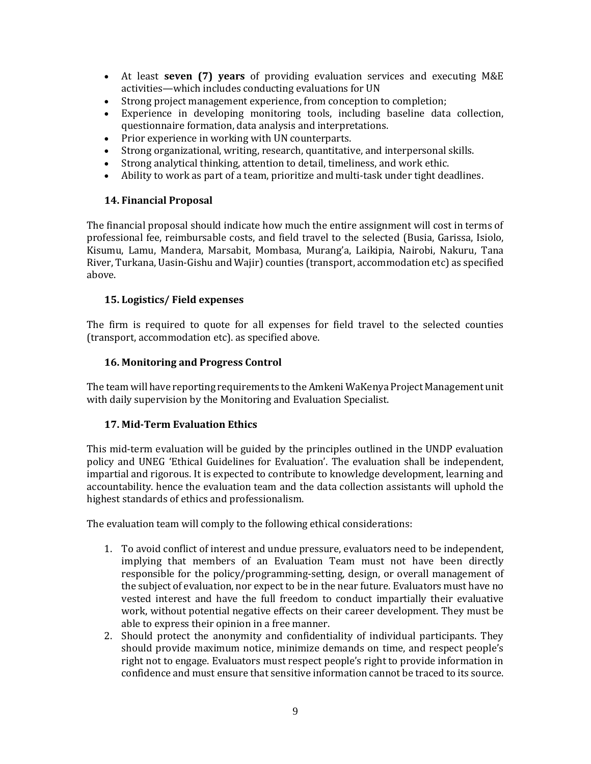- At least **seven (7) years** of providing evaluation services and executing M&E activities—which includes conducting evaluations for UN
- Strong project management experience, from conception to completion;
- Experience in developing monitoring tools, including baseline data collection, questionnaire formation, data analysis and interpretations.
- Prior experience in working with UN counterparts.
- Strong organizational, writing, research, quantitative, and interpersonal skills.
- Strong analytical thinking, attention to detail, timeliness, and work ethic.
- Ability to work as part of a team, prioritize and multi-task under tight deadlines.

## **14. Financial Proposal**

The financial proposal should indicate how much the entire assignment will cost in terms of professional fee, reimbursable costs, and field travel to the selected (Busia, Garissa, Isiolo, Kisumu, Lamu, Mandera, Marsabit, Mombasa, Murang'a, Laikipia, Nairobi, Nakuru, Tana River, Turkana, Uasin-Gishu and Wajir) counties (transport, accommodation etc) as specified above.

# **15. Logistics/ Field expenses**

The firm is required to quote for all expenses for field travel to the selected counties (transport, accommodation etc). as specified above.

## **16. Monitoring and Progress Control**

The team will have reporting requirements to the Amkeni WaKenya Project Management unit with daily supervision by the Monitoring and Evaluation Specialist.

# **17. Mid-Term Evaluation Ethics**

This mid-term evaluation will be guided by the principles outlined in the UNDP evaluation policy and UNEG 'Ethical Guidelines for Evaluation'. The evaluation shall be independent, impartial and rigorous. It is expected to contribute to knowledge development, learning and accountability. hence the evaluation team and the data collection assistants will uphold the highest standards of ethics and professionalism.

The evaluation team will comply to the following ethical considerations:

- 1. To avoid conflict of interest and undue pressure, evaluators need to be independent, implying that members of an Evaluation Team must not have been directly responsible for the policy/programming-setting, design, or overall management of the subject of evaluation, nor expect to be in the near future. Evaluators must have no vested interest and have the full freedom to conduct impartially their evaluative work, without potential negative effects on their career development. They must be able to express their opinion in a free manner.
- 2. Should protect the anonymity and confidentiality of individual participants. They should provide maximum notice, minimize demands on time, and respect people's right not to engage. Evaluators must respect people's right to provide information in confidence and must ensure that sensitive information cannot be traced to its source.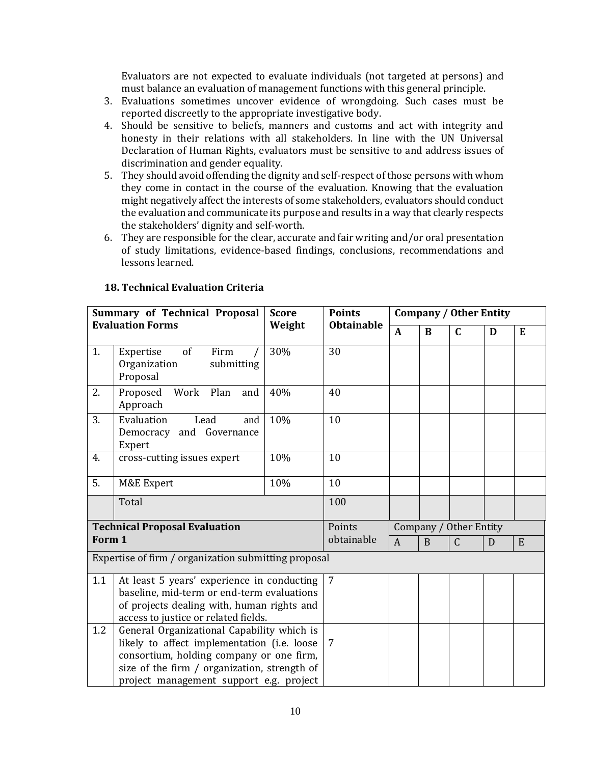Evaluators are not expected to evaluate individuals (not targeted at persons) and must balance an evaluation of management functions with this general principle.

- 3. Evaluations sometimes uncover evidence of wrongdoing. Such cases must be reported discreetly to the appropriate investigative body.
- 4. Should be sensitive to beliefs, manners and customs and act with integrity and honesty in their relations with all stakeholders. In line with the UN Universal Declaration of Human Rights, evaluators must be sensitive to and address issues of discrimination and gender equality.
- 5. They should avoid offending the dignity and self-respect of those persons with whom they come in contact in the course of the evaluation. Knowing that the evaluation might negatively affect the interests of some stakeholders, evaluators should conduct the evaluation and communicate its purpose and results in a way that clearly respects the stakeholders' dignity and self-worth.
- 6. They are responsible for the clear, accurate and fair writing and/or oral presentation of study limitations, evidence-based findings, conclusions, recommendations and lessons learned.

| <b>Summary of Technical Proposal</b><br><b>Evaluation Forms</b> |                                                                                                                                                                                                                                  | <b>Score</b> | <b>Points</b>     | <b>Company / Other Entity</b> |          |                                       |   |   |  |
|-----------------------------------------------------------------|----------------------------------------------------------------------------------------------------------------------------------------------------------------------------------------------------------------------------------|--------------|-------------------|-------------------------------|----------|---------------------------------------|---|---|--|
|                                                                 |                                                                                                                                                                                                                                  | Weight       | <b>Obtainable</b> | $\mathbf{A}$                  | $\bf{B}$ | $\mathbf C$<br>D<br>$\mathsf{C}$<br>D | E |   |  |
| 1.                                                              | of<br>Firm<br>Expertise<br>Organization<br>submitting<br>Proposal                                                                                                                                                                | 30%          | 30                |                               |          |                                       |   |   |  |
| 2.                                                              | Work<br>Plan<br>Proposed<br>and<br>Approach                                                                                                                                                                                      | 40%          | 40                |                               |          |                                       |   |   |  |
| 3.                                                              | Evaluation<br>Lead<br>and<br>Democracy and Governance<br>Expert                                                                                                                                                                  | 10%          | 10                |                               |          |                                       |   |   |  |
| 4.                                                              | cross-cutting issues expert                                                                                                                                                                                                      | 10%          | 10                |                               |          |                                       |   |   |  |
| 5.                                                              | <b>M&amp;E</b> Expert                                                                                                                                                                                                            | 10%          | 10                |                               |          |                                       |   |   |  |
|                                                                 | Total                                                                                                                                                                                                                            |              | 100               |                               |          |                                       |   |   |  |
|                                                                 | <b>Technical Proposal Evaluation</b>                                                                                                                                                                                             |              | Points            | Company / Other Entity        |          |                                       |   |   |  |
| Form 1                                                          |                                                                                                                                                                                                                                  |              | obtainable        | $\overline{A}$                | B        |                                       |   | E |  |
|                                                                 | Expertise of firm / organization submitting proposal                                                                                                                                                                             |              |                   |                               |          |                                       |   |   |  |
| 1.1                                                             | At least 5 years' experience in conducting<br>baseline, mid-term or end-term evaluations<br>of projects dealing with, human rights and<br>access to justice or related fields.                                                   |              | $\overline{7}$    |                               |          |                                       |   |   |  |
| 1.2                                                             | General Organizational Capability which is<br>likely to affect implementation (i.e. loose<br>consortium, holding company or one firm,<br>size of the firm / organization, strength of<br>project management support e.g. project |              | 7                 |                               |          |                                       |   |   |  |

## **18. Technical Evaluation Criteria**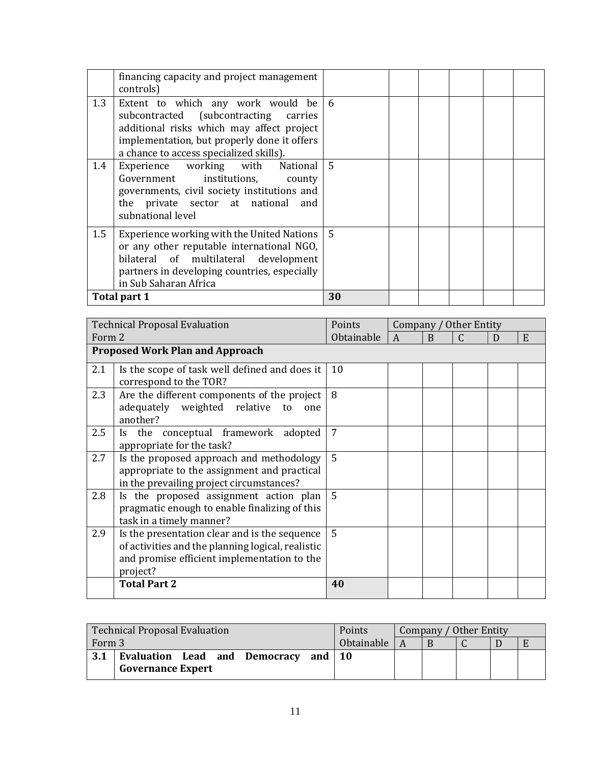|     | financing capacity and project management<br>controls)                                                                                                                                                            |                 |  |  |  |
|-----|-------------------------------------------------------------------------------------------------------------------------------------------------------------------------------------------------------------------|-----------------|--|--|--|
| 1.3 | Extent to which any work would be<br>subcontracted (subcontracting carries<br>additional risks which may affect project<br>implementation, but properly done it offers<br>a chance to access specialized skills). | 6               |  |  |  |
| 1.4 | Experience working with National<br>Government institutions, county<br>governments, civil society institutions and<br>the private sector at national and<br>subnational level                                     | $\overline{5}$  |  |  |  |
| 1.5 | Experience working with the United Nations<br>or any other reputable international NGO,<br>bilateral of multilateral development<br>partners in developing countries, especially<br>in Sub Saharan Africa         | $5\overline{5}$ |  |  |  |
|     | Total part 1                                                                                                                                                                                                      | 30              |  |  |  |

| <b>Technical Proposal Evaluation</b> |                                                                                                                                                               | Points         | Company / Other Entity |   |  |  |   |
|--------------------------------------|---------------------------------------------------------------------------------------------------------------------------------------------------------------|----------------|------------------------|---|--|--|---|
| Form 2                               |                                                                                                                                                               | Obtainable     | A                      | B |  |  | E |
|                                      | <b>Proposed Work Plan and Approach</b>                                                                                                                        |                |                        |   |  |  |   |
| 2.1                                  | Is the scope of task well defined and does it<br>correspond to the TOR?                                                                                       | 10             |                        |   |  |  |   |
| 2.3                                  | Are the different components of the project<br>adequately weighted relative to<br>one<br>another?                                                             | 8              |                        |   |  |  |   |
| 2.5                                  | Is the conceptual framework adopted<br>appropriate for the task?                                                                                              | 7              |                        |   |  |  |   |
| 2.7                                  | Is the proposed approach and methodology<br>appropriate to the assignment and practical<br>in the prevailing project circumstances?                           | $\overline{5}$ |                        |   |  |  |   |
| 2.8                                  | Is the proposed assignment action plan<br>pragmatic enough to enable finalizing of this<br>task in a timely manner?                                           | 5              |                        |   |  |  |   |
| 2.9                                  | Is the presentation clear and is the sequence<br>of activities and the planning logical, realistic<br>and promise efficient implementation to the<br>project? | 5              |                        |   |  |  |   |
|                                      | <b>Total Part 2</b>                                                                                                                                           | 40             |                        |   |  |  |   |

| <b>Technical Proposal Evaluation</b>                                               | <b>Points</b> | Company / Other Entity |  |  |  |
|------------------------------------------------------------------------------------|---------------|------------------------|--|--|--|
| Form 3                                                                             | Obtainable    |                        |  |  |  |
| Evaluation Lead and Democracy<br>3.1<br>and $\vert$ 10<br><b>Governance Expert</b> |               |                        |  |  |  |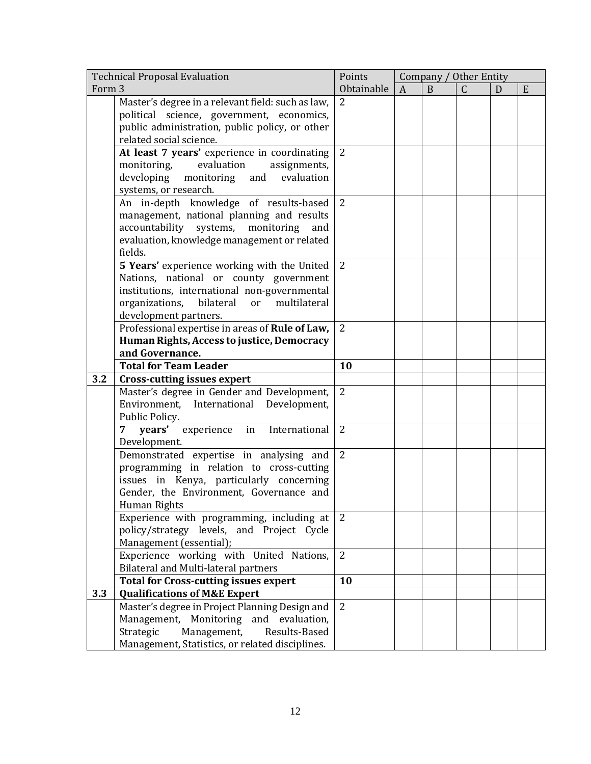|        | <b>Technical Proposal Evaluation</b>                          | Points         |                  | Company / Other Entity |              |   |   |
|--------|---------------------------------------------------------------|----------------|------------------|------------------------|--------------|---|---|
| Form 3 |                                                               | Obtainable     | $\boldsymbol{A}$ | B                      | $\mathsf{C}$ | D | E |
|        | Master's degree in a relevant field: such as law,             | $\overline{2}$ |                  |                        |              |   |   |
|        | political science, government, economics,                     |                |                  |                        |              |   |   |
|        | public administration, public policy, or other                |                |                  |                        |              |   |   |
|        | related social science.                                       |                |                  |                        |              |   |   |
|        | At least 7 years' experience in coordinating                  | 2              |                  |                        |              |   |   |
|        | evaluation<br>monitoring,<br>assignments,                     |                |                  |                        |              |   |   |
|        | developing<br>monitoring and<br>evaluation                    |                |                  |                        |              |   |   |
|        | systems, or research.                                         |                |                  |                        |              |   |   |
|        | An in-depth knowledge of results-based                        | 2              |                  |                        |              |   |   |
|        | management, national planning and results                     |                |                  |                        |              |   |   |
|        | accountability systems, monitoring<br>and                     |                |                  |                        |              |   |   |
|        | evaluation, knowledge management or related                   |                |                  |                        |              |   |   |
|        | fields.                                                       |                |                  |                        |              |   |   |
|        | 5 Years' experience working with the United                   | 2              |                  |                        |              |   |   |
|        | Nations, national or county government                        |                |                  |                        |              |   |   |
|        | institutions, international non-governmental                  |                |                  |                        |              |   |   |
|        | organizations,<br>bilateral<br>multilateral<br>or             |                |                  |                        |              |   |   |
|        | development partners.                                         |                |                  |                        |              |   |   |
|        | Professional expertise in areas of Rule of Law,               | 2              |                  |                        |              |   |   |
|        | Human Rights, Access to justice, Democracy                    |                |                  |                        |              |   |   |
|        | and Governance.                                               |                |                  |                        |              |   |   |
|        | <b>Total for Team Leader</b>                                  | 10             |                  |                        |              |   |   |
| 3.2    | <b>Cross-cutting issues expert</b>                            |                |                  |                        |              |   |   |
|        | Master's degree in Gender and Development,                    | $\overline{2}$ |                  |                        |              |   |   |
|        | Environment, International Development,                       |                |                  |                        |              |   |   |
|        | Public Policy.                                                |                |                  |                        |              |   |   |
|        | $\overline{7}$<br>years'<br>experience<br>International<br>in | $\overline{2}$ |                  |                        |              |   |   |
|        | Development.                                                  |                |                  |                        |              |   |   |
|        | Demonstrated expertise in analysing and                       | 2              |                  |                        |              |   |   |
|        | programming in relation to cross-cutting                      |                |                  |                        |              |   |   |
|        | issues in Kenya, particularly concerning                      |                |                  |                        |              |   |   |
|        | Gender, the Environment, Governance and                       |                |                  |                        |              |   |   |
|        | Human Rights                                                  |                |                  |                        |              |   |   |
|        | Experience with programming, including at                     | 2              |                  |                        |              |   |   |
|        | policy/strategy levels, and Project Cycle                     |                |                  |                        |              |   |   |
|        | Management (essential);                                       |                |                  |                        |              |   |   |
|        | Experience working with United Nations,                       | 2              |                  |                        |              |   |   |
|        | <b>Bilateral and Multi-lateral partners</b>                   |                |                  |                        |              |   |   |
|        | <b>Total for Cross-cutting issues expert</b>                  | 10             |                  |                        |              |   |   |
| 3.3    | <b>Qualifications of M&amp;E Expert</b>                       |                |                  |                        |              |   |   |
|        | Master's degree in Project Planning Design and                | 2              |                  |                        |              |   |   |
|        | Management,<br>Monitoring<br>and evaluation,                  |                |                  |                        |              |   |   |
|        | Strategic<br>Management,<br>Results-Based                     |                |                  |                        |              |   |   |
|        | Management, Statistics, or related disciplines.               |                |                  |                        |              |   |   |